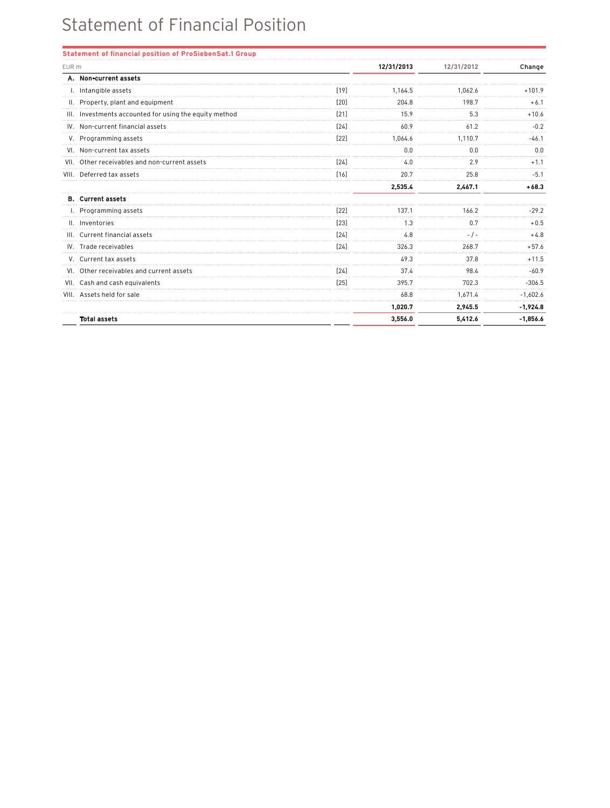## Statement of Financial Position

| EUR m |                                                        |        | 12/31/2013 | 12/31/2012 | Change     |
|-------|--------------------------------------------------------|--------|------------|------------|------------|
|       | A. Non-current assets                                  |        |            |            |            |
|       | I. Intangible assets                                   | [19]   | 1.164.5    | 1.062.6    | $+101.9$   |
|       | II. Property, plant and equipment                      | $[20]$ | 204.8      | 198.7      | $+6.1$     |
|       | III. Investments accounted for using the equity method | [21]   | 15.9       | 5.3        | $+10.6$    |
|       | IV. Non-current financial assets                       | [24]   | 60.9       | 61.2       | $-0.2$     |
|       | V. Programming assets                                  | $[22]$ | 1,064.6    | 1.110.7    | $-46.1$    |
|       | VI. Non-current tax assets                             |        | 0.0        | 0.0        | 0.0        |
|       | VII. Other receivables and non-current assets          | [24]   | 4.0        | 2.9        | $+1.1$     |
|       | VIII. Deferred tax assets                              | [16]   | 20.7       | 25.8       | $-5.1$     |
|       |                                                        |        | 2.535.4    | 2,467.1    | $+68.3$    |
|       | <b>B.</b> Current assets                               |        |            |            |            |
|       | I. Programming assets                                  | $[22]$ | 137.1      | 166.2      | $-29.2$    |
|       | II. Inventories                                        | [23]   | 1.3        | 0.7        | $+0.5$     |
|       | III. Current financial assets                          | [24]   | 4.8        | $-1-$      | $+4.8$     |
|       | IV. Trade receivables                                  | [24]   | 326.3      | 268.7      | $+57.6$    |
|       | V. Current tax assets                                  |        | 49.3       | 37.8       | $+11.5$    |
|       | VI. Other receivables and current assets               | [24]   | 37.4       | 98.4       | $-60.9$    |
|       | VII. Cash and cash equivalents                         | $[25]$ | 395.7      | 702.3      | $-306.5$   |
|       | VIII. Assets held for sale                             |        | 68.8       | 1.671.4    | $-1,602.6$ |
|       |                                                        |        | 1,020.7    | 2,945.5    | $-1,924.8$ |
|       | <b>Total assets</b>                                    |        | 3,556.0    | 5,412.6    | $-1,856.6$ |